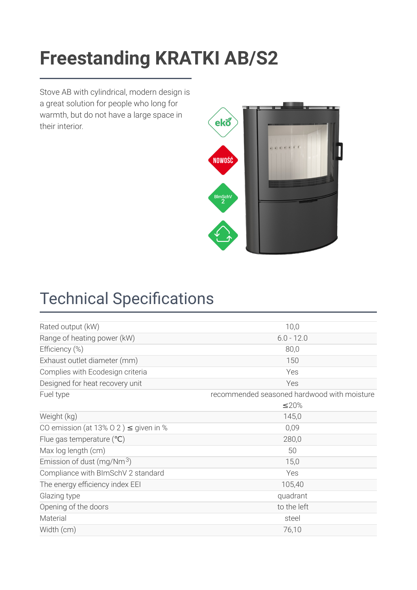### Freestanding KRATKI AB/S2 **[Freestanding KRATKI AB/S2](https://kratki.com/sklep/en/produkt/1844/freestanding-stove-ab-s-2)**

Stove AB with cylindrical, modern design is a great solution for people who long for warmth, but do not have a large space in their interior.



# **Technical Specifications**

| Rated output (kW)                          | 10,0                                        |
|--------------------------------------------|---------------------------------------------|
| Range of heating power (kW)                | $6.0 - 12.0$                                |
| Efficiency (%)                             | 80,0                                        |
| Exhaust outlet diameter (mm)               | 150                                         |
| Complies with Ecodesign criteria           | Yes                                         |
| Designed for heat recovery unit            | Yes                                         |
| Fuel type                                  | recommended seasoned hardwood with moisture |
|                                            | ≤20%                                        |
| Weight (kg)                                | 145,0                                       |
| CO emission (at 13% O 2) $\leq$ given in % | 0,09                                        |
| Flue gas temperature $(°C)$                | 280,0                                       |
| Max log length (cm)                        | 50                                          |
| Emission of dust (mg/Nm <sup>3</sup> )     | 15,0                                        |
| Compliance with BImSchV 2 standard         | Yes                                         |
| The energy efficiency index EEI            | 105,40                                      |
| Glazing type                               | quadrant                                    |
| Opening of the doors                       | to the left                                 |
| Material                                   | steel                                       |
| Width (cm)                                 | 76,10                                       |
|                                            |                                             |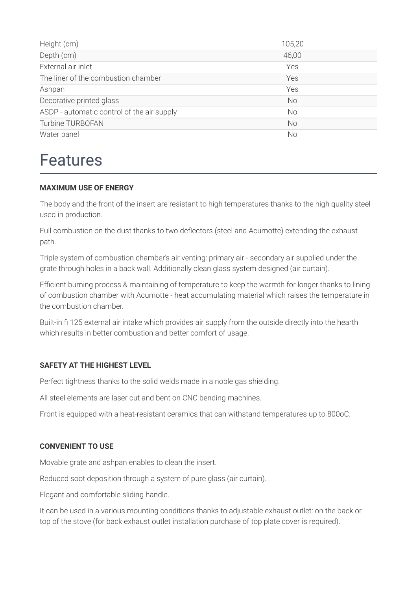| Height (cm)                                | 105,20    |
|--------------------------------------------|-----------|
| Depth (cm)                                 | 46,00     |
| External air inlet                         | Yes       |
| The liner of the combustion chamber        | Yes       |
| Ashpan                                     | Yes       |
| Decorative printed glass                   | <b>No</b> |
| ASDP - automatic control of the air supply | <b>No</b> |
| <b>Turbine TURBOFAN</b>                    | <b>No</b> |
| Water panel                                | No        |

### Features

#### **MAXIMUM USE OF ENERGY**

The body and the front of the insert are resistant to high temperatures thanks to the high quality steel used in production.

Full combustion on the dust thanks to two deflectors (steel and Acumotte) extending the exhaust path.

Triple system of combustion chamber's air venting: primary air - secondary air supplied under the grate through holes in a back wall. Additionally clean glass system designed (air curtain).

Efficient burning process & maintaining of temperature to keep the warmth for longer thanks to lining of combustion chamber with Acumotte - heat accumulating material which raises the temperature in the combustion chamber.

Built-in fi 125 external air intake which provides air supply from the outside directly into the hearth which results in better combustion and better comfort of usage.

#### **SAFETY AT THE HIGHEST LEVEL**

Perfect tightness thanks to the solid welds made in a noble gas shielding.

All steel elements are laser cut and bent on CNC bending machines.

Front is equipped with a heat-resistant ceramics that can withstand temperatures up to 800oC.

#### **CONVENIENT TO USE**

Movable grate and ashpan enables to clean the insert.

Reduced soot deposition through a system of pure glass (air curtain).

Elegant and comfortable sliding handle.

It can be used in a various mounting conditions thanks to adjustable exhaust outlet: on the back or top of the stove (for back exhaust outlet installation purchase of top plate cover is required).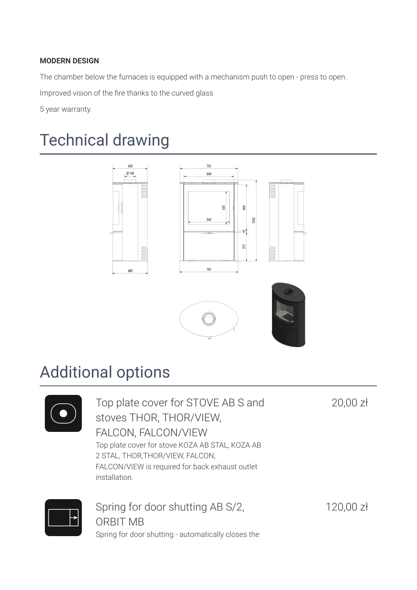#### **MODERN DESIGN**

The chamber below the furnaces is equipped with a mechanism push to open - press to open.

Improved vision of the fire thanks to the curved glass

5 year warranty.

# Technical drawing



## Additional options



Top plate cover for STOVE AB S and stoves THOR, THOR/VIEW, FALCON, FALCON/VIEW Top plate cover for stove KOZA AB STAL, KOZA AB 2 STAL, THOR,THOR/VIEW, FALCON, FALCON/VIEW is required for back exhaust outlet installation.

20,00 zł



Spring for door shutting AB S/2, ORBIT MB Spring for door shutting - automatically closes the

120,00 zł